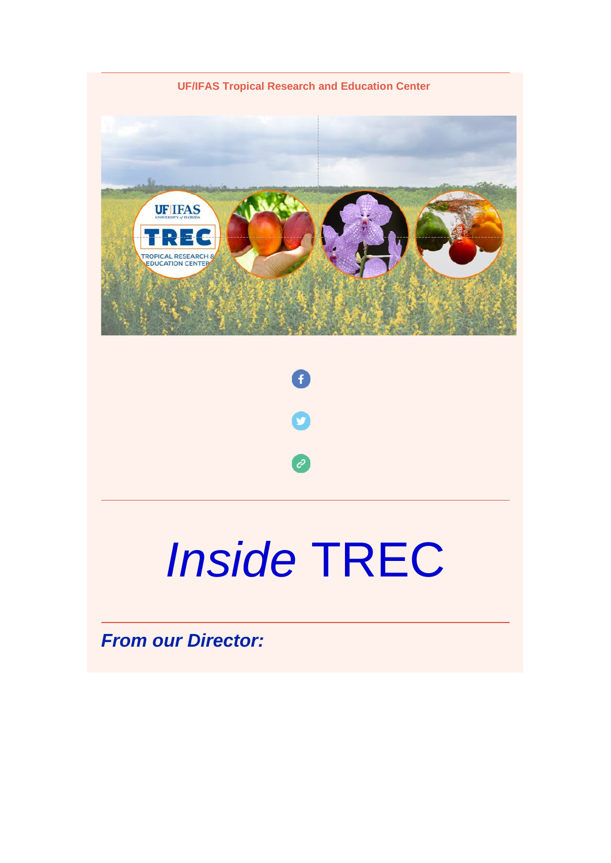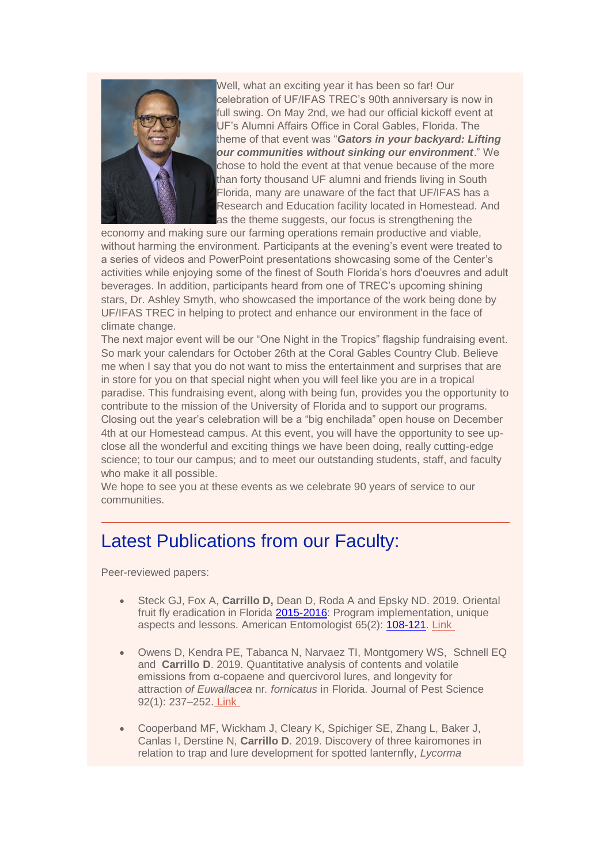

Well, what an exciting year it has been so far! Our celebration of UF/IFAS TREC's 90th anniversary is now in full swing. On May 2nd, we had our official kickoff event at UF's Alumni Affairs Office in Coral Gables, Florida. The theme of that event was "*Gators in your backyard: Lifting our communities without sinking our environment*." We chose to hold the event at that venue because of the more than forty thousand UF alumni and friends living in South Florida, many are unaware of the fact that UF/IFAS has a Research and Education facility located in Homestead. And as the theme suggests, our focus is strengthening the

economy and making sure our farming operations remain productive and viable, without harming the environment. Participants at the evening's event were treated to a series of videos and PowerPoint presentations showcasing some of the Center's activities while enjoying some of the finest of South Florida's hors d'oeuvres and adult beverages. In addition, participants heard from one of TREC's upcoming shining stars, Dr. Ashley Smyth, who showcased the importance of the work being done by UF/IFAS TREC in helping to protect and enhance our environment in the face of climate change.

The next major event will be our "One Night in the Tropics" flagship fundraising event. So mark your calendars for October 26th at the Coral Gables Country Club. Believe me when I say that you do not want to miss the entertainment and surprises that are in store for you on that special night when you will feel like you are in a tropical paradise. This fundraising event, along with being fun, provides you the opportunity to contribute to the mission of the University of Florida and to support our programs. Closing out the year's celebration will be a "big enchilada" open house on December 4th at our Homestead campus. At this event, you will have the opportunity to see upclose all the wonderful and exciting things we have been doing, really cutting-edge science; to tour our campus; and to meet our outstanding students, staff, and faculty who make it all possible.

We hope to see you at these events as we celebrate 90 years of service to our communities.

# Latest Publications from our Faculty:

Peer-reviewed papers:

- Steck GJ, Fox A, **Carrillo D,** Dean D, Roda A and Epsky ND. 2019. Oriental fruit fly eradication in Florida [2015-2016:](tel:2015-2016) Program implementation, unique aspects and lessons. American Entomologist 65(2): [108-121.](tel:108-121) [Link](https://urldefense.proofpoint.com/v2/url?u=https-3A__academic.oup.com_ae_article_65_2_108_5512521&d=DwMFaQ&c=sJ6xIWYx-zLMB3EPkvcnVg&r=Q74cU8AdCBxFqyeVb-WjVw&m=YYpP4aN-iHV6CEyap9KFzhsRmYX86wPmA1YQOOI3RLI&s=vpSDCAFyhOdzhDHbTeKxgovrinH7qq-ZXxl-RSnjn3g&e=)
- Owens D, Kendra PE, Tabanca N, Narvaez TI, Montgomery WS, Schnell EQ and **Carrillo D**. 2019. Quantitative analysis of contents and volatile emissions from α-copaene and quercivorol lures, and longevity for attraction *of Euwallacea* nr*. fornicatus* in Florida. Journal of Pest Science 92(1): 237–252. [Link](https://urldefense.proofpoint.com/v2/url?u=https-3A__link.springer.com_article_10.1007_s10340-2D018-2D0960-2D6&d=DwMFaQ&c=sJ6xIWYx-zLMB3EPkvcnVg&r=Q74cU8AdCBxFqyeVb-WjVw&m=YYpP4aN-iHV6CEyap9KFzhsRmYX86wPmA1YQOOI3RLI&s=IjMe69jJzan4uzPNxQa5DU2loqOXAwR72QaJ2caId-E&e=)
- Cooperband MF, Wickham J, Cleary K, Spichiger SE, Zhang L, Baker J, Canlas I, Derstine N, **Carrillo D**. 2019. Discovery of three kairomones in relation to trap and lure development for spotted lanternfly, *Lycorma*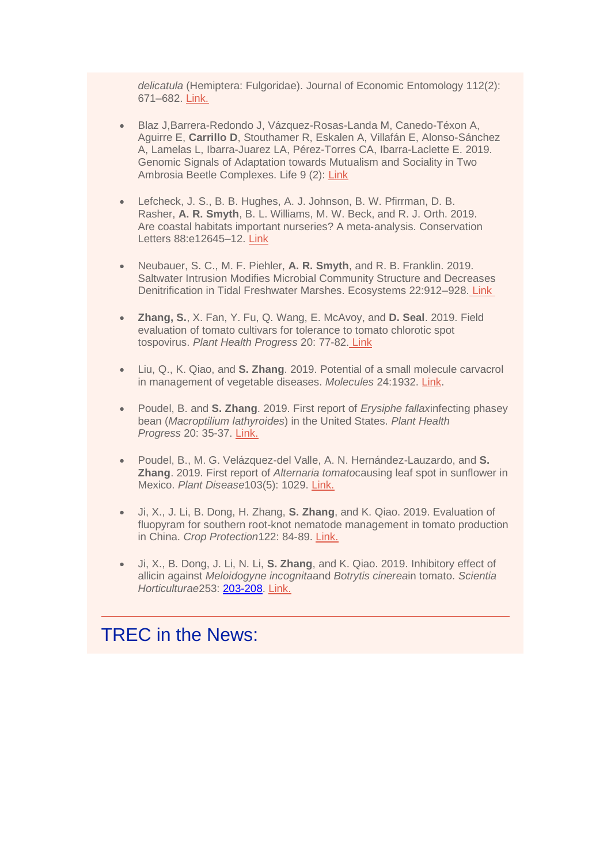*delicatula* (Hemiptera: Fulgoridae). Journal of Economic Entomology 112(2): 671–682. [Link.](https://urldefense.proofpoint.com/v2/url?u=https-3A__academic.oup.com_jee_article_112_2_671_5312895&d=DwMFaQ&c=sJ6xIWYx-zLMB3EPkvcnVg&r=Q74cU8AdCBxFqyeVb-WjVw&m=YYpP4aN-iHV6CEyap9KFzhsRmYX86wPmA1YQOOI3RLI&s=JJYj8RN8SgFU2xB6Mh045SJ6Lq-BKB-OQttHBk_I0s0&e=)

- Blaz J,Barrera-Redondo J, Vázquez-Rosas-Landa M, Canedo-Téxon A, Aguirre E, **Carrillo D**, Stouthamer R, Eskalen A, Villafán E, Alonso-Sánchez A, Lamelas L, Ibarra-Juarez LA, Pérez-Torres CA, Ibarra-Laclette E. 2019. Genomic Signals of Adaptation towards Mutualism and Sociality in Two Ambrosia Beetle Complexes. Life 9 (2): [Link](https://urldefense.proofpoint.com/v2/url?u=https-3A__www.mdpi.com_2075-2D1729_9_1_2&d=DwMFaQ&c=sJ6xIWYx-zLMB3EPkvcnVg&r=Q74cU8AdCBxFqyeVb-WjVw&m=YYpP4aN-iHV6CEyap9KFzhsRmYX86wPmA1YQOOI3RLI&s=0OZNPK79WooqzDr_1SThw95eZGz7cbqhi78Oti4avMc&e=)
- Lefcheck, J. S., B. B. Hughes, A. J. Johnson, B. W. Pfirrman, D. B. Rasher, **A. R. Smyth**, B. L. Williams, M. W. Beck, and R. J. Orth. 2019. Are coastal habitats important nurseries? A meta‐analysis. Conservation Letters 88:e12645–12. [Link](https://urldefense.proofpoint.com/v2/url?u=https-3A__onlinelibrary.wiley.com_doi_full_10.1111_conl.12645&d=DwMFaQ&c=sJ6xIWYx-zLMB3EPkvcnVg&r=Q74cU8AdCBxFqyeVb-WjVw&m=YYpP4aN-iHV6CEyap9KFzhsRmYX86wPmA1YQOOI3RLI&s=7GAnIZ9Mu8lcv3IXFhFXfo8Xm9YtkVvF78xM1fapHTU&e=)
- Neubauer, S. C., M. F. Piehler, **A. R. Smyth**, and R. B. Franklin. 2019. Saltwater Intrusion Modifies Microbial Community Structure and Decreases Denitrification in Tidal Freshwater Marshes. Ecosystems 22:912–928. [Link](https://urldefense.proofpoint.com/v2/url?u=https-3A__link.springer.com_article_10.1007_s10021-2D018-2D0312-2D7&d=DwMFaQ&c=sJ6xIWYx-zLMB3EPkvcnVg&r=Q74cU8AdCBxFqyeVb-WjVw&m=YYpP4aN-iHV6CEyap9KFzhsRmYX86wPmA1YQOOI3RLI&s=5zdDWARr1gCSldx5F888Xh6qg18vqHS3t8oSB-EJSPo&e=)
- **Zhang, S.**, X. Fan, Y. Fu, Q. Wang, E. McAvoy, and **D. Seal**. 2019. Field evaluation of tomato cultivars for tolerance to tomato chlorotic spot tospovirus. *Plant Health Progress* 20: 77-82. [Link](https://urldefense.proofpoint.com/v2/url?u=https-3A__apsjournals.apsnet.org_doi_10.1094_PHP-2D02-2D19-2D0010-2DRS&d=DwMFaQ&c=sJ6xIWYx-zLMB3EPkvcnVg&r=Q74cU8AdCBxFqyeVb-WjVw&m=YYpP4aN-iHV6CEyap9KFzhsRmYX86wPmA1YQOOI3RLI&s=nkL7KJLon2C_e6IZGvTrYGWh_-uRVnb-gcbaH8JuuSc&e=)
- Liu, Q., K. Qiao, and **S. Zhang**. 2019. Potential of a small molecule carvacrol in management of vegetable diseases. *Molecules* 24:1932. [Link.](https://urldefense.proofpoint.com/v2/url?u=https-3A__www.mdpi.com_1420-2D3049_24_10_1932&d=DwMFaQ&c=sJ6xIWYx-zLMB3EPkvcnVg&r=Q74cU8AdCBxFqyeVb-WjVw&m=YYpP4aN-iHV6CEyap9KFzhsRmYX86wPmA1YQOOI3RLI&s=ij7O2wj2qG6hij4PHmPwD31mZF32lpDX5XVuwQiZyuk&e=)
- Poudel, B. and **S. Zhang**. 2019. First report of *Erysiphe fallax*infecting phasey bean (*Macroptilium lathyroides*) in the United States. *Plant Health Progress* 20: 35-37. [Link.](https://urldefense.proofpoint.com/v2/url?u=https-3A__www.plantmanagementnetwork.org_sub_php_volume20_number1_PHP-2D11-2D18-2D0071-2DBR.pdf&d=DwMFaQ&c=sJ6xIWYx-zLMB3EPkvcnVg&r=Q74cU8AdCBxFqyeVb-WjVw&m=YYpP4aN-iHV6CEyap9KFzhsRmYX86wPmA1YQOOI3RLI&s=IFp4_kjP8seeR44ia0I0E4irRXDhxl3_xWUNxEU2Y98&e=)
- Poudel, B., M. G. Velázquez-del Valle, A. N. Hernández-Lauzardo, and **S. Zhang**. 2019. First report of *Alternaria tomato*causing leaf spot in sunflower in Mexico. *Plant Disease*103(5): 1029. [Link.](https://urldefense.proofpoint.com/v2/url?u=https-3A__apsjournals.apsnet.org_doi_abs_10.1094_PDIS-2D07-2D18-2D1173-2DPDN&d=DwMFaQ&c=sJ6xIWYx-zLMB3EPkvcnVg&r=Q74cU8AdCBxFqyeVb-WjVw&m=YYpP4aN-iHV6CEyap9KFzhsRmYX86wPmA1YQOOI3RLI&s=YqrQm52pUDRKo3iT2Qu2-pHJM-YXremB0MRWy7UhOGc&e=)
- Ji, X., J. Li, B. Dong, H. Zhang, **S. Zhang**, and K. Qiao. 2019. Evaluation of fluopyram for southern root-knot nematode management in tomato production in China. *Crop Protection*122: 84-89. [Link.](https://urldefense.proofpoint.com/v2/url?u=https-3A__www.sciencedirect.com_science_article_pii_S0261219419301383&d=DwMFaQ&c=sJ6xIWYx-zLMB3EPkvcnVg&r=Q74cU8AdCBxFqyeVb-WjVw&m=YYpP4aN-iHV6CEyap9KFzhsRmYX86wPmA1YQOOI3RLI&s=eAsxNuTcjM5-QeZDmC7qwF4WbE8fWA9LQsDhuoKhDf8&e=)
- Ji, X., B. Dong, J. Li, N. Li, **S. Zhang**, and K. Qiao. 2019. Inhibitory effect of allicin against *Meloidogyne incognita*and *Botrytis cinerea*in tomato. *Scientia Horticulturae*253: [203-208.](tel:203-208) [Link.](https://urldefense.proofpoint.com/v2/url?u=https-3A__www.sciencedirect.com_science_article_pii_S0304423819302948&d=DwMFaQ&c=sJ6xIWYx-zLMB3EPkvcnVg&r=Q74cU8AdCBxFqyeVb-WjVw&m=YYpP4aN-iHV6CEyap9KFzhsRmYX86wPmA1YQOOI3RLI&s=-Nv-q9UzfdvilI32sEFvv79BCq1qS7zNZPY77hdxDMA&e=)

## TREC in the News: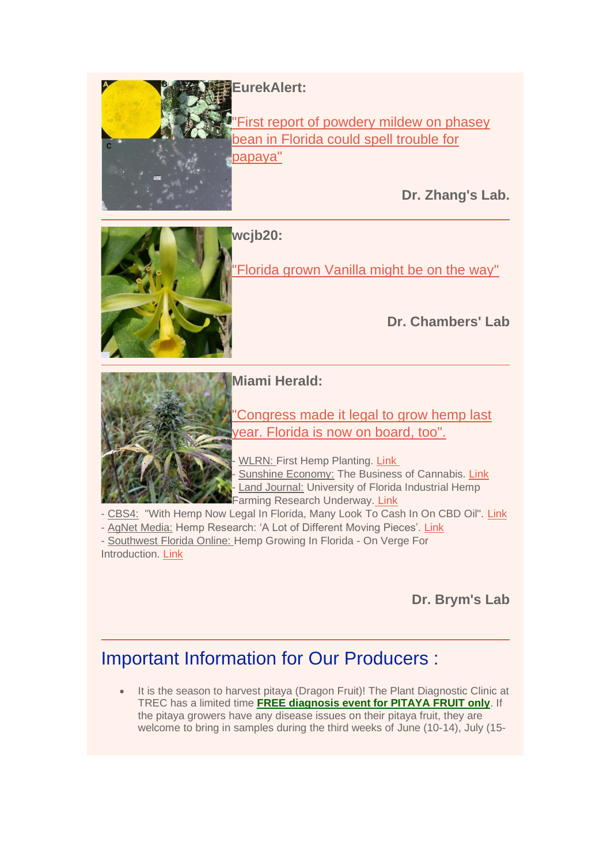**EurekAlert:**

First report of powdery mildew on phasey [bean in Florida could spell trouble for](https://urldefense.proofpoint.com/v2/url?u=https-3A__www.eurekalert.org_pub-5Freleases_2019-2D05_aps-2Dfro052119.php&d=DwMFaQ&c=sJ6xIWYx-zLMB3EPkvcnVg&r=Q74cU8AdCBxFqyeVb-WjVw&m=YYpP4aN-iHV6CEyap9KFzhsRmYX86wPmA1YQOOI3RLI&s=CK7wwlKYPQTztInUMt0YfMzSowxYeq9rWZcIrAvu4sc&e=)  [papaya"](https://urldefense.proofpoint.com/v2/url?u=https-3A__www.eurekalert.org_pub-5Freleases_2019-2D05_aps-2Dfro052119.php&d=DwMFaQ&c=sJ6xIWYx-zLMB3EPkvcnVg&r=Q74cU8AdCBxFqyeVb-WjVw&m=YYpP4aN-iHV6CEyap9KFzhsRmYX86wPmA1YQOOI3RLI&s=CK7wwlKYPQTztInUMt0YfMzSowxYeq9rWZcIrAvu4sc&e=)

**Dr. Zhang's Lab.**



## **wcjb20:**

Florida grown Vanilla might be on the way"

## **Dr. Chambers' Lab**



### **Miami Herald:**

["Congress made it legal to grow hemp last](https://urldefense.proofpoint.com/v2/url?u=https-3A__www.miamiherald.com_news_politics-2Dgovernment_state-2Dpolitics_article229992174.html-3F&d=DwMFaQ&c=sJ6xIWYx-zLMB3EPkvcnVg&r=Q74cU8AdCBxFqyeVb-WjVw&m=YYpP4aN-iHV6CEyap9KFzhsRmYX86wPmA1YQOOI3RLI&s=EGoKyuHdq7Bn5sYsrF-_i-Ct6mdpTzEZurWa5InK_uM&e=)  [year. Florida is now on board, too".](https://urldefense.proofpoint.com/v2/url?u=https-3A__www.miamiherald.com_news_politics-2Dgovernment_state-2Dpolitics_article229992174.html-3F&d=DwMFaQ&c=sJ6xIWYx-zLMB3EPkvcnVg&r=Q74cU8AdCBxFqyeVb-WjVw&m=YYpP4aN-iHV6CEyap9KFzhsRmYX86wPmA1YQOOI3RLI&s=EGoKyuHdq7Bn5sYsrF-_i-Ct6mdpTzEZurWa5InK_uM&e=)

WLRN: First Hemp Planting. [Link](https://urldefense.proofpoint.com/v2/url?u=https-3A__soundcloud.com_wlrn_704am-2Dfla-2Dleg-2Dpasses-2Ddrug-2Dimport-2Dbill-23t-3D1-3A01&d=DwMFaQ&c=sJ6xIWYx-zLMB3EPkvcnVg&r=Q74cU8AdCBxFqyeVb-WjVw&m=YYpP4aN-iHV6CEyap9KFzhsRmYX86wPmA1YQOOI3RLI&s=LpdJ-0TusFgJ3u1sDIkMyPwx4yAJjx2es-OBbQtSIGM&e=) Sunshine Economy: The Business of Cannabis. [Link](https://urldefense.proofpoint.com/v2/url?u=https-3A__www.wlrn.org_post_business-2Dcannabis-2Dsunshine-2Deconomy&d=DwMFaQ&c=sJ6xIWYx-zLMB3EPkvcnVg&r=Q74cU8AdCBxFqyeVb-WjVw&m=YYpP4aN-iHV6CEyap9KFzhsRmYX86wPmA1YQOOI3RLI&s=Q_9TiCaZpIC_II0YKRTfmRnKRAcxUoIpPL9fzXzHp1Y&e=) Land Journal: University of Florida Industrial Hemp Farming Research Underway. [Link](https://urldefense.proofpoint.com/v2/url?u=https-3A__blog.thelandjournal.net_university-2Dof-2Dflorida-2Dindustrial-2Dhemp-2Dfarming-2Dresearch-2Dunderway&d=DwMFaQ&c=sJ6xIWYx-zLMB3EPkvcnVg&r=Q74cU8AdCBxFqyeVb-WjVw&m=YYpP4aN-iHV6CEyap9KFzhsRmYX86wPmA1YQOOI3RLI&s=2siEKv-Z9_SaMPJk6OHMxQEjyWSRd0bAZ9dOZuuZNMM&e=)

- CBS4: "With Hemp Now Legal In Florida, Many Look To Cash In On CBD Oil". [Link](https://urldefense.proofpoint.com/v2/url?u=https-3A__miami.cbslocal.com_2019_05_13_hemp-2Dlegal-2Dflorida-2Dcbd-2Doil-2Dbusiness_&d=DwMFaQ&c=sJ6xIWYx-zLMB3EPkvcnVg&r=Q74cU8AdCBxFqyeVb-WjVw&m=YYpP4aN-iHV6CEyap9KFzhsRmYX86wPmA1YQOOI3RLI&s=8IbbmDexUZ1wSDnquaU0EptfLZ4IQzVcP2hQ9I6h32c&e=)

- AgNet Media: Hemp Research: 'A Lot of Different Moving Pieces'. [Link](https://urldefense.proofpoint.com/v2/url?u=http-3A__southeastagnet.com_2019_05_17_hemp-2Dresearch-2Ddifferent-2Dmoving-2Dpieces_&d=DwMFaQ&c=sJ6xIWYx-zLMB3EPkvcnVg&r=Q74cU8AdCBxFqyeVb-WjVw&m=YYpP4aN-iHV6CEyap9KFzhsRmYX86wPmA1YQOOI3RLI&s=_-v4CHg2_-PzzueZx3BrRfNsxuNH9UZWBuoZprz5Do4&e=) - Southwest Florida Online: Hemp Growing In Florida - On Verge For Introduction. [Link](https://urldefense.proofpoint.com/v2/url?u=http-3A__swflorida.blogspot.com_2019_06_hemp-2Dgrowing-2Din-2Dflorida-2Don-2Dverge-2Dfor.html&d=DwMFaQ&c=sJ6xIWYx-zLMB3EPkvcnVg&r=Q74cU8AdCBxFqyeVb-WjVw&m=YYpP4aN-iHV6CEyap9KFzhsRmYX86wPmA1YQOOI3RLI&s=-aO0D8HP2qq0dG2-rzJHIXHwIfIBOrA4jw96brtDH8U&e=)

**Dr. Brym's Lab**

# Important Information for Our Producers :

It is the season to harvest pitaya (Dragon Fruit)! The Plant Diagnostic Clinic at TREC has a limited time **FREE diagnosis event for PITAYA FRUIT only**. If the pitaya growers have any disease issues on their pitaya fruit, they are welcome to bring in samples during the third weeks of June (10-14), July (15-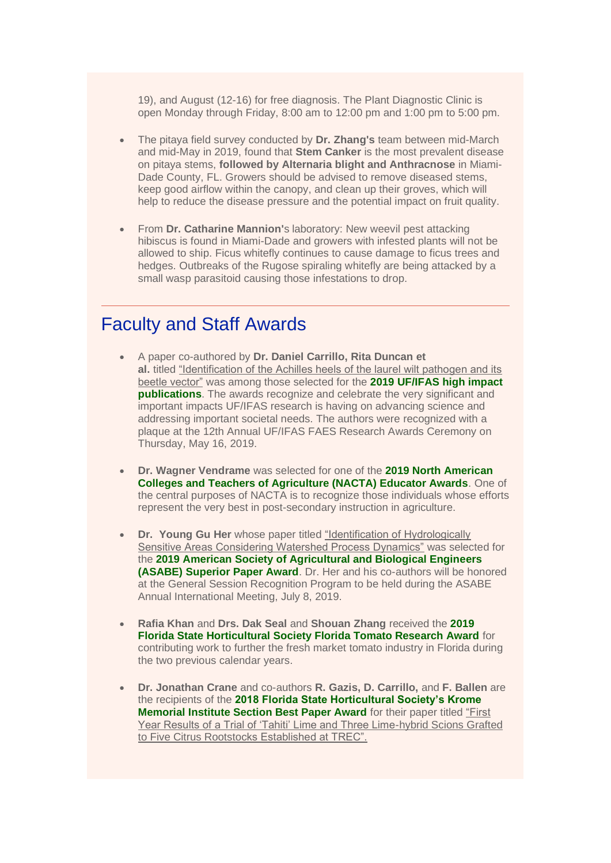19), and August (12-16) for free diagnosis. The Plant Diagnostic Clinic is open Monday through Friday, 8:00 am to 12:00 pm and 1:00 pm to 5:00 pm.

- The pitaya field survey conducted by **Dr. Zhang's** team between mid-March and mid-May in 2019, found that **Stem Canker** is the most prevalent disease on pitaya stems, **followed by Alternaria blight and Anthracnose** in Miami-Dade County, FL. Growers should be advised to remove diseased stems, keep good airflow within the canopy, and clean up their groves, which will help to reduce the disease pressure and the potential impact on fruit quality.
- From **Dr. Catharine Mannion'**s laboratory: New weevil pest attacking hibiscus is found in Miami-Dade and growers with infested plants will not be allowed to ship. Ficus whitefly continues to cause damage to ficus trees and hedges. Outbreaks of the Rugose spiraling whitefly are being attacked by a small wasp parasitoid causing those infestations to drop.

## Faculty and Staff Awards

- A paper co-authored by **Dr. Daniel Carrillo, Rita Duncan et al.** titled "Identification of the Achilles heels of the laurel wilt pathogen and its beetle vector" was among those selected for the **2019 UF/IFAS high impact publications**. The awards recognize and celebrate the very significant and important impacts UF/IFAS research is having on advancing science and addressing important societal needs. The authors were recognized with a plaque at the 12th Annual UF/IFAS FAES Research Awards Ceremony on Thursday, May 16, 2019.
- **Dr. Wagner Vendrame** was selected for one of the **2019 North American Colleges and Teachers of Agriculture (NACTA) Educator Awards**. One of the central purposes of NACTA is to recognize those individuals whose efforts represent the very best in post-secondary instruction in agriculture.
- **Dr. Young Gu Her** whose paper titled "Identification of Hydrologically Sensitive Areas Considering Watershed Process Dynamics" was selected for the **2019 American Society of Agricultural and Biological Engineers (ASABE) Superior Paper Award**. Dr. Her and his co-authors will be honored at the General Session Recognition Program to be held during the ASABE Annual International Meeting, July 8, 2019.
- **Rafia Khan** and **Drs. Dak Seal** and **Shouan Zhang** received the **2019 Florida State Horticultural Society Florida Tomato Research Award** for contributing work to further the fresh market tomato industry in Florida during the two previous calendar years.
- **Dr. Jonathan Crane** and co-authors **R. Gazis, D. Carrillo,** and **F. Ballen** are the recipients of the **2018 Florida State Horticultural Society's Krome Memorial Institute Section Best Paper Award** for their paper titled "First Year Results of a Trial of 'Tahiti' Lime and Three Lime-hybrid Scions Grafted to Five Citrus Rootstocks Established at TREC".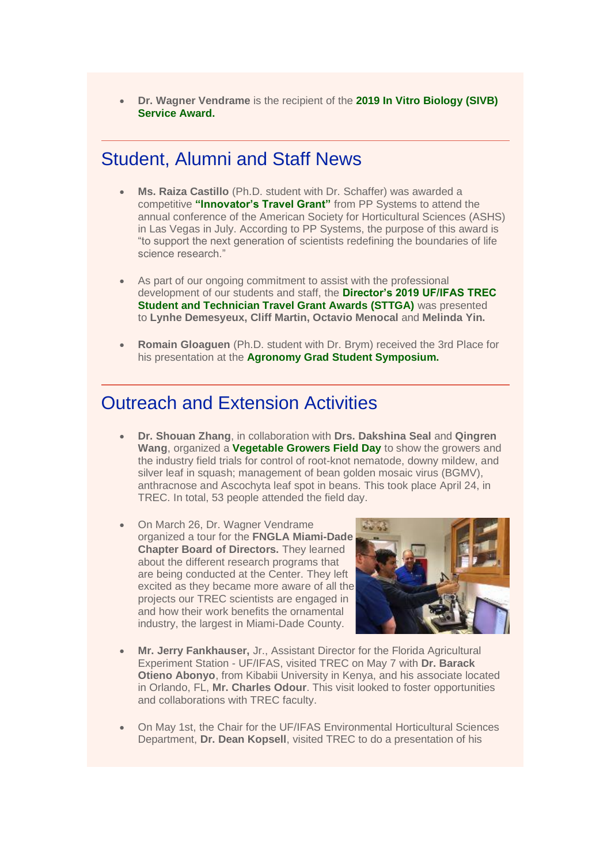• **Dr. Wagner Vendrame** is the recipient of the **2019 In Vitro Biology (SIVB) Service Award.**

## Student, Alumni and Staff News

- **Ms. Raiza Castillo** (Ph.D. student with Dr. Schaffer) was awarded a competitive **"Innovator's Travel Grant"** from PP Systems to attend the annual conference of the American Society for Horticultural Sciences (ASHS) in Las Vegas in July. According to PP Systems, the purpose of this award is "to support the next generation of scientists redefining the boundaries of life science research."
- As part of our ongoing commitment to assist with the professional development of our students and staff, the **Director's 2019 UF/IFAS TREC Student and Technician Travel Grant Awards (STTGA)** was presented to **Lynhe Demesyeux, Cliff Martin, Octavio Menocal** and **Melinda Yin.**
- **Romain Gloaguen** (Ph.D. student with Dr. Brym) received the 3rd Place for his presentation at the **Agronomy Grad Student Symposium.**

# Outreach and Extension Activities

- **Dr. Shouan Zhang**, in collaboration with **Drs. Dakshina Seal** and **Qingren Wang**, organized a **Vegetable Growers Field Day** to show the growers and the industry field trials for control of root-knot nematode, downy mildew, and silver leaf in squash; management of bean golden mosaic virus (BGMV), anthracnose and Ascochyta leaf spot in beans. This took place April 24, in TREC. In total, 53 people attended the field day.
- On March 26, Dr. Wagner Vendrame organized a tour for the **FNGLA Miami-Dade Chapter Board of Directors.** They learned about the different research programs that are being conducted at the Center. They left excited as they became more aware of all the projects our TREC scientists are engaged in and how their work benefits the ornamental industry, the largest in Miami-Dade County.



- **Mr. Jerry Fankhauser,** Jr., Assistant Director for the Florida Agricultural Experiment Station - UF/IFAS, visited TREC on May 7 with **Dr. Barack Otieno Abonyo**, from Kibabii University in Kenya, and his associate located in Orlando, FL, **Mr. Charles Odour**. This visit looked to foster opportunities and collaborations with TREC faculty.
- On May 1st, the Chair for the UF/IFAS Environmental Horticultural Sciences Department, **Dr. Dean Kopsell**, visited TREC to do a presentation of his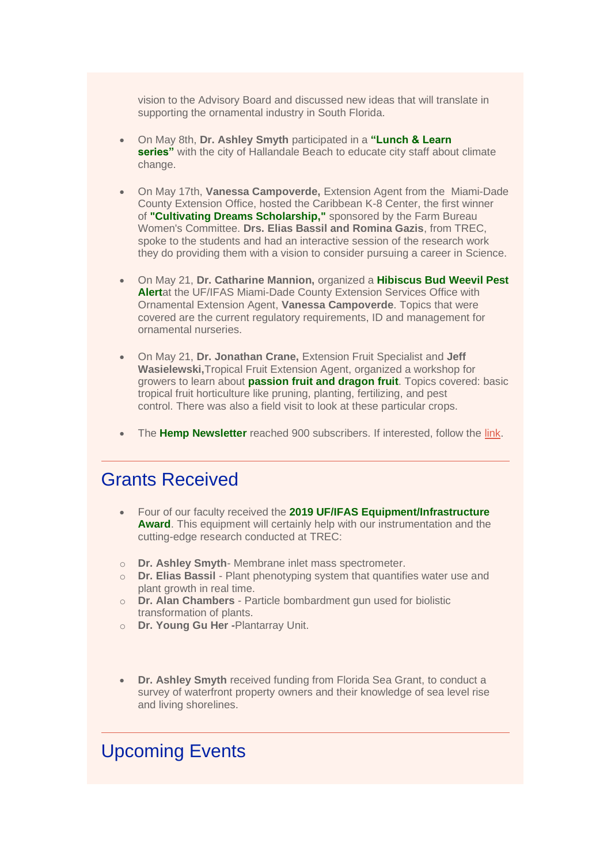vision to the Advisory Board and discussed new ideas that will translate in supporting the ornamental industry in South Florida.

- On May 8th, **Dr. Ashley Smyth** participated in a **"Lunch & Learn series**" with the city of Hallandale Beach to educate city staff about climate change.
- On May 17th, **Vanessa Campoverde,** Extension Agent from the Miami-Dade County Extension Office, hosted the Caribbean K-8 Center, the first winner of **"Cultivating Dreams Scholarship,"** sponsored by the Farm Bureau Women's Committee. **Drs. Elias Bassil and Romina Gazis**, from TREC, spoke to the students and had an interactive session of the research work they do providing them with a vision to consider pursuing a career in Science.
- On May 21, **Dr. Catharine Mannion,** organized a **Hibiscus Bud Weevil Pest Alert**at the UF/IFAS Miami-Dade County Extension Services Office with Ornamental Extension Agent, **Vanessa Campoverde**. Topics that were covered are the current regulatory requirements, ID and management for ornamental nurseries.
- On May 21, **Dr. Jonathan Crane,** Extension Fruit Specialist and **Jeff Wasielewski,**Tropical Fruit Extension Agent, organized a workshop for growers to learn about **passion fruit and dragon fruit**. Topics covered: basic tropical fruit horticulture like pruning, planting, fertilizing, and pest control. There was also a field visit to look at these particular crops.
- The **Hemp Newsletter** reached 900 subscribers. If interested, follow the [link.](https://programs.ifas.ufl.edu/hemp/newsletter/)

## Grants Received

- Four of our faculty received the **2019 UF/IFAS Equipment/Infrastructure Award**. This equipment will certainly help with our instrumentation and the cutting-edge research conducted at TREC:
- o **Dr. Ashley Smyth** Membrane inlet mass spectrometer.
- o **Dr. Elias Bassil** Plant phenotyping system that quantifies water use and plant growth in real time.
- o **Dr. Alan Chambers** Particle bombardment gun used for biolistic transformation of plants.
- o **Dr. Young Gu Her -**Plantarray Unit.
- **Dr. Ashley Smyth** received funding from Florida Sea Grant, to conduct a survey of waterfront property owners and their knowledge of sea level rise and living shorelines.

# Upcoming Events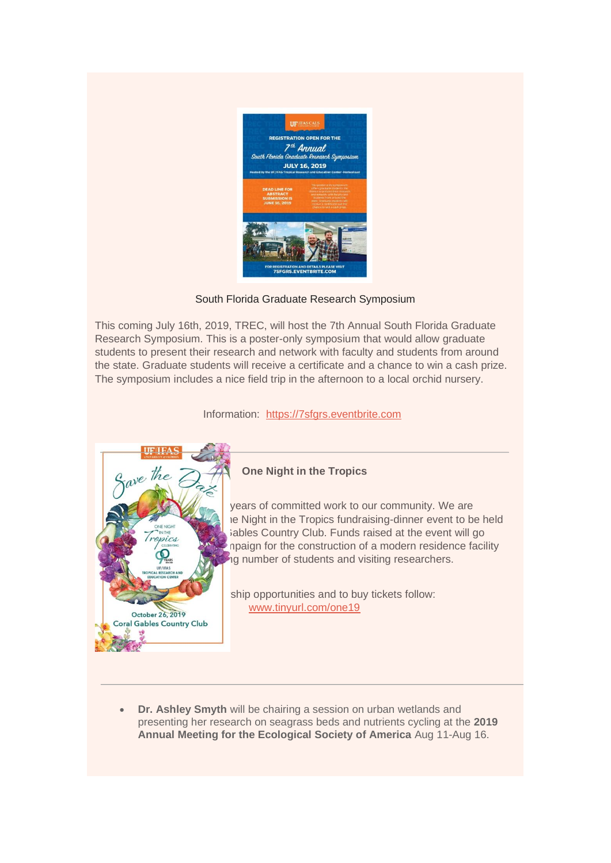

### South Florida Graduate Research Symposium

This coming July 16th, 2019, TREC, will host the 7th Annual South Florida Graduate Research Symposium. This is a poster-only symposium that would allow graduate students to present their research and network with faculty and students from around the state. Graduate students will receive a certificate and a chance to win a cash prize. The symposium includes a nice field trip in the afternoon to a local orchid nursery.

Information: [https://7sfgrs.eventbrite.com](https://urldefense.proofpoint.com/v2/url?u=https-3A__7sfgrs.eventbrite.com_&d=DwMFaQ&c=sJ6xIWYx-zLMB3EPkvcnVg&r=Q74cU8AdCBxFqyeVb-WjVw&m=YYpP4aN-iHV6CEyap9KFzhsRmYX86wPmA1YQOOI3RLI&s=zIZZHWgLi7ma4MKCy2cBaJuUw4iXYFSaJo6agAYknAM&e=)



#### **One Night in the Tropics**

years of committed work to our community. We are ie Night in the Tropics fundraising-dinner event to be held  $\sum_{\text{DALC}}$  ables Country Club. Funds raised at the event will go npaign for the construction of a modern residence facility to a number of students and visiting researchers.

> ship opportunities and to buy tickets follow: [www.tinyurl.com/one19](https://urldefense.proofpoint.com/v2/url?u=http-3A__www.tinyurl.com_one19&d=DwMFaQ&c=sJ6xIWYx-zLMB3EPkvcnVg&r=Q74cU8AdCBxFqyeVb-WjVw&m=YYpP4aN-iHV6CEyap9KFzhsRmYX86wPmA1YQOOI3RLI&s=02qckSCzGjnaJkDj-Lx6FjokxEtnjF-dU7iEfl_kCk4&e=)

• **Dr. Ashley Smyth** will be chairing a session on urban wetlands and presenting her research on seagrass beds and nutrients cycling at the **2019 Annual Meeting for the Ecological Society of America** Aug 11-Aug 16.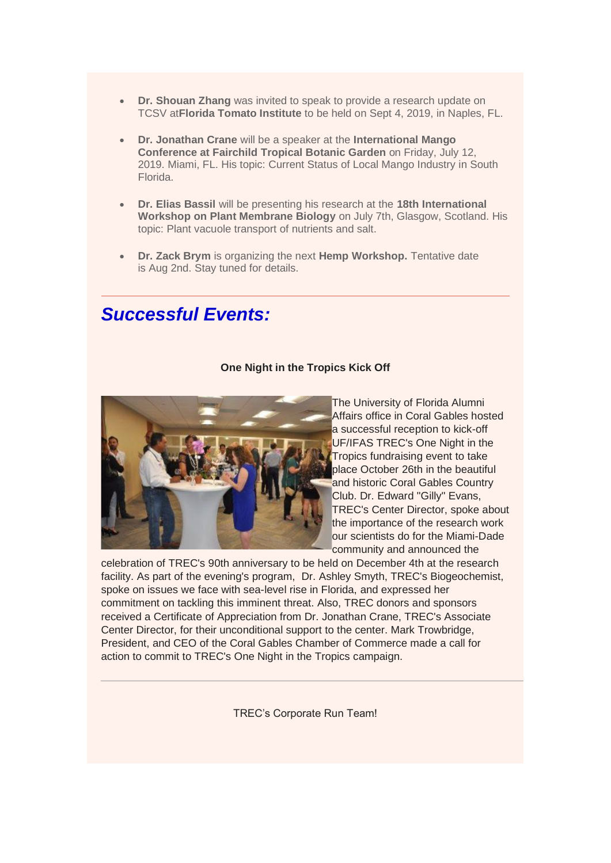- **Dr. Shouan Zhang** was invited to speak to provide a research update on TCSV at**Florida Tomato Institute** to be held on Sept 4, 2019, in Naples, FL.
- **Dr. Jonathan Crane** will be a speaker at the **International Mango Conference at Fairchild Tropical Botanic Garden** on Friday, July 12, 2019. Miami, FL. His topic: Current Status of Local Mango Industry in South Florida.
- **Dr. Elias Bassil** will be presenting his research at the **18th International Workshop on Plant Membrane Biology** on July 7th, Glasgow, Scotland. His topic: Plant vacuole transport of nutrients and salt.
- **Dr. Zack Brym** is organizing the next **Hemp Workshop.** Tentative date is Aug 2nd. Stay tuned for details.

# *Successful Events:*

#### **One Night in the Tropics Kick Off**



The University of Florida Alumni Affairs office in Coral Gables hosted a successful reception to kick-off UF/IFAS TREC's One Night in the Tropics fundraising event to take place October 26th in the beautiful and historic Coral Gables Country Club. Dr. Edward "Gilly" Evans, TREC's Center Director, spoke about the importance of the research work our scientists do for the Miami-Dade community and announced the

celebration of TREC's 90th anniversary to be held on December 4th at the research facility. As part of the evening's program, Dr. Ashley Smyth, TREC's Biogeochemist, spoke on issues we face with sea-level rise in Florida, and expressed her commitment on tackling this imminent threat. Also, TREC donors and sponsors received a Certificate of Appreciation from Dr. Jonathan Crane, TREC's Associate Center Director, for their unconditional support to the center. Mark Trowbridge, President, and CEO of the Coral Gables Chamber of Commerce made a call for action to commit to TREC's One Night in the Tropics campaign.

TREC's Corporate Run Team!